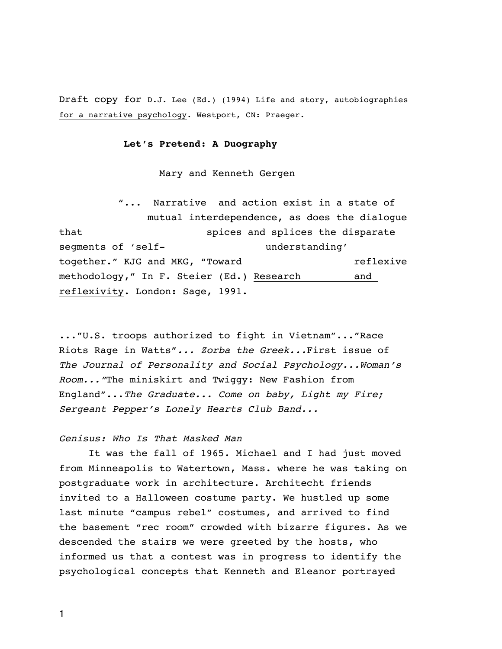Draft copy for D.J. Lee (Ed.) (1994) Life and story, autobiographies for a narrative psychology. Westport, CN: Praeger.

## **Let's Pretend: A Duography**

Mary and Kenneth Gergen

 "... Narrative and action exist in a state of mutual interdependence, as does the dialogue that spices and splices the disparate segments of 'self-<br>
understanding' together." KJG and MKG, "Toward The Resolution of the reflexive methodology," In F. Steier (Ed.) Research and reflexivity. London: Sage, 1991.

..."U.S. troops authorized to fight in Vietnam"..."Race Riots Rage in Watts"... Zorba the Greek... First issue of The Journal of Personality and Social Psychology... Woman's Room..."The miniskirt and Twiggy: New Fashion from England"...The Graduate... Come on baby, Light my Fire; Sergeant Pepper's Lonely Hearts Club Band...

## Genisus: Who Is That Masked Man

 It was the fall of 1965. Michael and I had just moved from Minneapolis to Watertown, Mass. where he was taking on postgraduate work in architecture. Architecht friends invited to a Halloween costume party. We hustled up some last minute "campus rebel" costumes, and arrived to find the basement "rec room" crowded with bizarre figures. As we descended the stairs we were greeted by the hosts, who informed us that a contest was in progress to identify the psychological concepts that Kenneth and Eleanor portrayed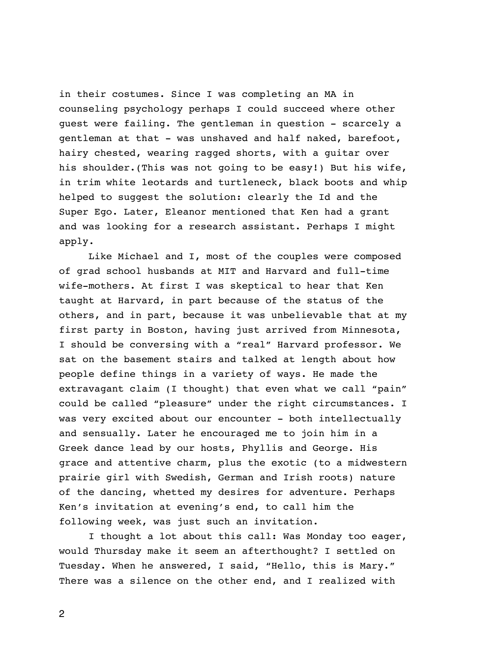in their costumes. Since I was completing an MA in counseling psychology perhaps I could succeed where other guest were failing. The gentleman in question - scarcely a gentleman at that - was unshaved and half naked, barefoot, hairy chested, wearing ragged shorts, with a guitar over his shoulder.(This was not going to be easy!) But his wife, in trim white leotards and turtleneck, black boots and whip helped to suggest the solution: clearly the Id and the Super Ego. Later, Eleanor mentioned that Ken had a grant and was looking for a research assistant. Perhaps I might apply.

 Like Michael and I, most of the couples were composed of grad school husbands at MIT and Harvard and full-time wife-mothers. At first I was skeptical to hear that Ken taught at Harvard, in part because of the status of the others, and in part, because it was unbelievable that at my first party in Boston, having just arrived from Minnesota, I should be conversing with a "real" Harvard professor. We sat on the basement stairs and talked at length about how people define things in a variety of ways. He made the extravagant claim (I thought) that even what we call "pain" could be called "pleasure" under the right circumstances. I was very excited about our encounter - both intellectually and sensually. Later he encouraged me to join him in a Greek dance lead by our hosts, Phyllis and George. His grace and attentive charm, plus the exotic (to a midwestern prairie girl with Swedish, German and Irish roots) nature of the dancing, whetted my desires for adventure. Perhaps Ken's invitation at evening's end, to call him the following week, was just such an invitation.

 I thought a lot about this call: Was Monday too eager, would Thursday make it seem an afterthought? I settled on Tuesday. When he answered, I said, "Hello, this is Mary." There was a silence on the other end, and I realized with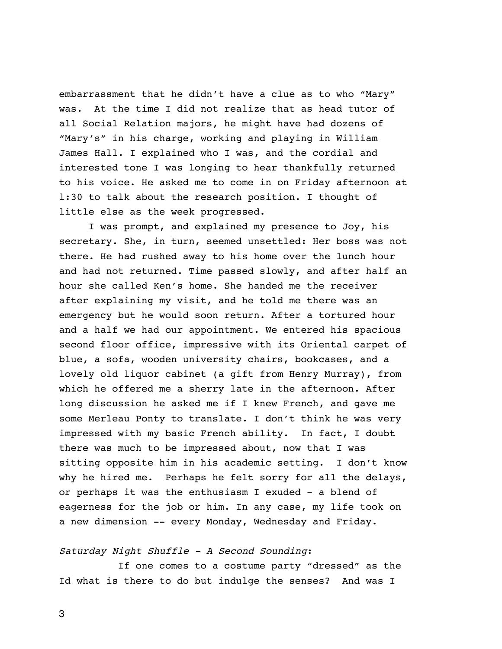embarrassment that he didn't have a clue as to who "Mary" was. At the time I did not realize that as head tutor of all Social Relation majors, he might have had dozens of "Mary's" in his charge, working and playing in William James Hall. I explained who I was, and the cordial and interested tone I was longing to hear thankfully returned to his voice. He asked me to come in on Friday afternoon at l:30 to talk about the research position. I thought of little else as the week progressed.

 I was prompt, and explained my presence to Joy, his secretary. She, in turn, seemed unsettled: Her boss was not there. He had rushed away to his home over the lunch hour and had not returned. Time passed slowly, and after half an hour she called Ken's home. She handed me the receiver after explaining my visit, and he told me there was an emergency but he would soon return. After a tortured hour and a half we had our appointment. We entered his spacious second floor office, impressive with its Oriental carpet of blue, a sofa, wooden university chairs, bookcases, and a lovely old liquor cabinet (a gift from Henry Murray), from which he offered me a sherry late in the afternoon. After long discussion he asked me if I knew French, and gave me some Merleau Ponty to translate. I don't think he was very impressed with my basic French ability. In fact, I doubt there was much to be impressed about, now that I was sitting opposite him in his academic setting. I don't know why he hired me. Perhaps he felt sorry for all the delays, or perhaps it was the enthusiasm I exuded - a blend of eagerness for the job or him. In any case, my life took on a new dimension -- every Monday, Wednesday and Friday.

#### Saturday Night Shuffle - A Second Sounding:

 If one comes to a costume party "dressed" as the Id what is there to do but indulge the senses? And was I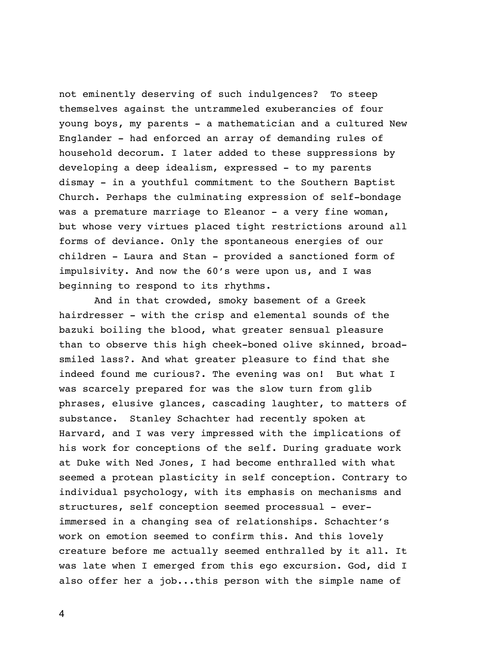not eminently deserving of such indulgences? To steep themselves against the untrammeled exuberancies of four young boys, my parents - a mathematician and a cultured New Englander - had enforced an array of demanding rules of household decorum. I later added to these suppressions by developing a deep idealism, expressed - to my parents dismay - in a youthful commitment to the Southern Baptist Church. Perhaps the culminating expression of self-bondage was a premature marriage to Eleanor - a very fine woman, but whose very virtues placed tight restrictions around all forms of deviance. Only the spontaneous energies of our children - Laura and Stan - provided a sanctioned form of impulsivity. And now the 60's were upon us, and I was beginning to respond to its rhythms.

 And in that crowded, smoky basement of a Greek hairdresser - with the crisp and elemental sounds of the bazuki boiling the blood, what greater sensual pleasure than to observe this high cheek-boned olive skinned, broadsmiled lass?. And what greater pleasure to find that she indeed found me curious?. The evening was on! But what I was scarcely prepared for was the slow turn from glib phrases, elusive glances, cascading laughter, to matters of substance. Stanley Schachter had recently spoken at Harvard, and I was very impressed with the implications of his work for conceptions of the self. During graduate work at Duke with Ned Jones, I had become enthralled with what seemed a protean plasticity in self conception. Contrary to individual psychology, with its emphasis on mechanisms and structures, self conception seemed processual - everimmersed in a changing sea of relationships. Schachter's work on emotion seemed to confirm this. And this lovely creature before me actually seemed enthralled by it all. It was late when I emerged from this ego excursion. God, did I also offer her a job...this person with the simple name of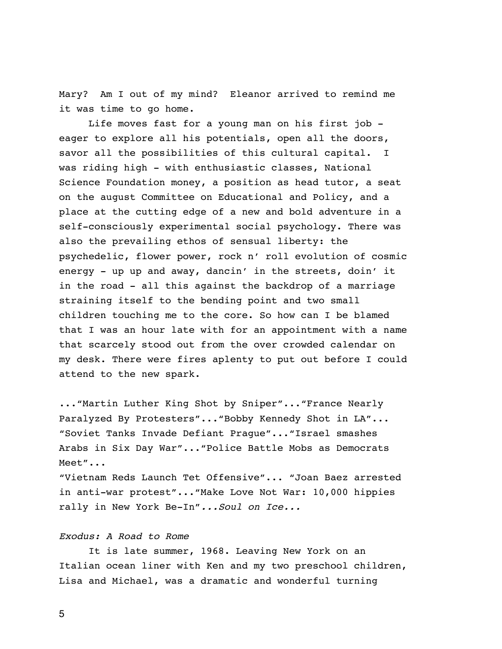Mary? Am I out of my mind? Eleanor arrived to remind me it was time to go home.

 Life moves fast for a young man on his first job eager to explore all his potentials, open all the doors, savor all the possibilities of this cultural capital. I was riding high - with enthusiastic classes, National Science Foundation money, a position as head tutor, a seat on the august Committee on Educational and Policy, and a place at the cutting edge of a new and bold adventure in a self-consciously experimental social psychology. There was also the prevailing ethos of sensual liberty: the psychedelic, flower power, rock n' roll evolution of cosmic energy - up up and away, dancin' in the streets, doin' it in the road - all this against the backdrop of a marriage straining itself to the bending point and two small children touching me to the core. So how can I be blamed that I was an hour late with for an appointment with a name that scarcely stood out from the over crowded calendar on my desk. There were fires aplenty to put out before I could attend to the new spark.

..."Martin Luther King Shot by Sniper"..."France Nearly Paralyzed By Protesters"..."Bobby Kennedy Shot in LA"... "Soviet Tanks Invade Defiant Prague"..."Israel smashes Arabs in Six Day War"..."Police Battle Mobs as Democrats Meet"...

"Vietnam Reds Launch Tet Offensive"... "Joan Baez arrested in anti-war protest"..."Make Love Not War: 10,000 hippies rally in New York Be-In"...Soul on Ice...

## Exodus: A Road to Rome

 It is late summer, 1968. Leaving New York on an Italian ocean liner with Ken and my two preschool children, Lisa and Michael, was a dramatic and wonderful turning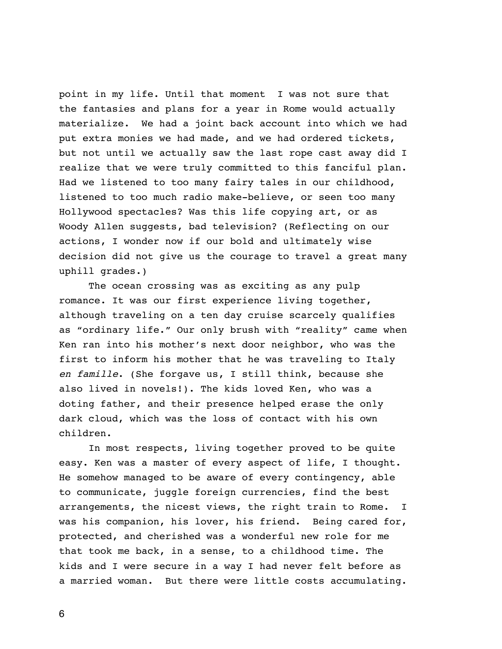point in my life. Until that moment I was not sure that the fantasies and plans for a year in Rome would actually materialize. We had a joint back account into which we had put extra monies we had made, and we had ordered tickets, but not until we actually saw the last rope cast away did I realize that we were truly committed to this fanciful plan. Had we listened to too many fairy tales in our childhood, listened to too much radio make-believe, or seen too many Hollywood spectacles? Was this life copying art, or as Woody Allen suggests, bad television? (Reflecting on our actions, I wonder now if our bold and ultimately wise decision did not give us the courage to travel a great many uphill grades.)

 The ocean crossing was as exciting as any pulp romance. It was our first experience living together, although traveling on a ten day cruise scarcely qualifies as "ordinary life." Our only brush with "reality" came when Ken ran into his mother's next door neighbor, who was the first to inform his mother that he was traveling to Italy en famille. (She forgave us, I still think, because she also lived in novels!). The kids loved Ken, who was a doting father, and their presence helped erase the only dark cloud, which was the loss of contact with his own children.

 In most respects, living together proved to be quite easy. Ken was a master of every aspect of life, I thought. He somehow managed to be aware of every contingency, able to communicate, juggle foreign currencies, find the best arrangements, the nicest views, the right train to Rome. I was his companion, his lover, his friend. Being cared for, protected, and cherished was a wonderful new role for me that took me back, in a sense, to a childhood time. The kids and I were secure in a way I had never felt before as a married woman. But there were little costs accumulating.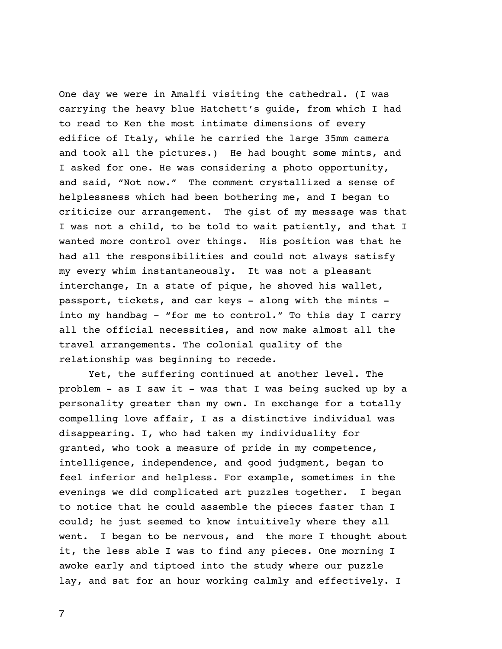One day we were in Amalfi visiting the cathedral. (I was carrying the heavy blue Hatchett's guide, from which I had to read to Ken the most intimate dimensions of every edifice of Italy, while he carried the large 35mm camera and took all the pictures.) He had bought some mints, and I asked for one. He was considering a photo opportunity, and said, "Not now." The comment crystallized a sense of helplessness which had been bothering me, and I began to criticize our arrangement. The gist of my message was that I was not a child, to be told to wait patiently, and that I wanted more control over things. His position was that he had all the responsibilities and could not always satisfy my every whim instantaneously. It was not a pleasant interchange, In a state of pique, he shoved his wallet, passport, tickets, and car keys - along with the mints into my handbag - "for me to control." To this day I carry all the official necessities, and now make almost all the travel arrangements. The colonial quality of the relationship was beginning to recede.

 Yet, the suffering continued at another level. The problem - as I saw it - was that I was being sucked up by a personality greater than my own. In exchange for a totally compelling love affair, I as a distinctive individual was disappearing. I, who had taken my individuality for granted, who took a measure of pride in my competence, intelligence, independence, and good judgment, began to feel inferior and helpless. For example, sometimes in the evenings we did complicated art puzzles together. I began to notice that he could assemble the pieces faster than I could; he just seemed to know intuitively where they all went. I began to be nervous, and the more I thought about it, the less able I was to find any pieces. One morning I awoke early and tiptoed into the study where our puzzle lay, and sat for an hour working calmly and effectively. I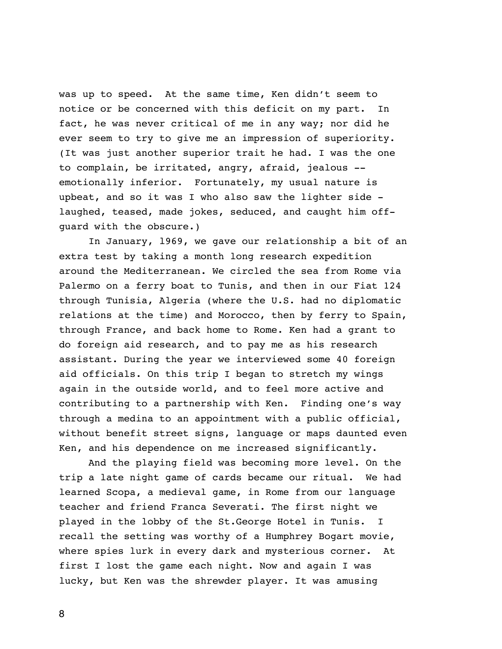was up to speed. At the same time, Ken didn't seem to notice or be concerned with this deficit on my part. In fact, he was never critical of me in any way; nor did he ever seem to try to give me an impression of superiority. (It was just another superior trait he had. I was the one to complain, be irritated, angry, afraid, jealous - emotionally inferior. Fortunately, my usual nature is upbeat, and so it was I who also saw the lighter side laughed, teased, made jokes, seduced, and caught him offguard with the obscure.)

 In January, l969, we gave our relationship a bit of an extra test by taking a month long research expedition around the Mediterranean. We circled the sea from Rome via Palermo on a ferry boat to Tunis, and then in our Fiat 124 through Tunisia, Algeria (where the U.S. had no diplomatic relations at the time) and Morocco, then by ferry to Spain, through France, and back home to Rome. Ken had a grant to do foreign aid research, and to pay me as his research assistant. During the year we interviewed some 40 foreign aid officials. On this trip I began to stretch my wings again in the outside world, and to feel more active and contributing to a partnership with Ken. Finding one's way through a medina to an appointment with a public official, without benefit street signs, language or maps daunted even Ken, and his dependence on me increased significantly.

 And the playing field was becoming more level. On the trip a late night game of cards became our ritual. We had learned Scopa, a medieval game, in Rome from our language teacher and friend Franca Severati. The first night we played in the lobby of the St.George Hotel in Tunis. I recall the setting was worthy of a Humphrey Bogart movie, where spies lurk in every dark and mysterious corner. At first I lost the game each night. Now and again I was lucky, but Ken was the shrewder player. It was amusing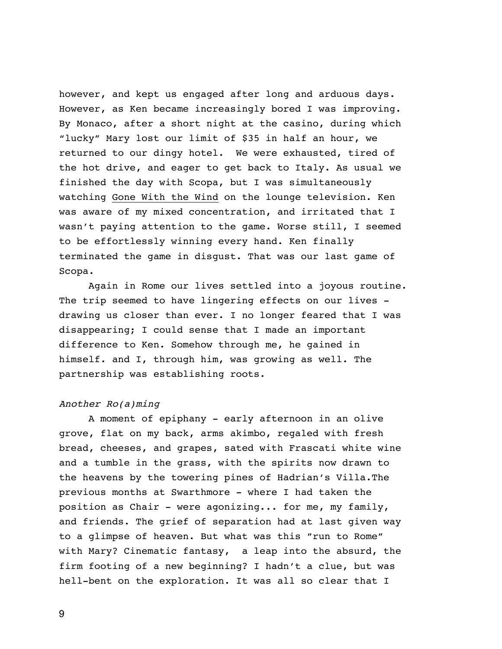however, and kept us engaged after long and arduous days. However, as Ken became increasingly bored I was improving. By Monaco, after a short night at the casino, during which "lucky" Mary lost our limit of \$35 in half an hour, we returned to our dingy hotel. We were exhausted, tired of the hot drive, and eager to get back to Italy. As usual we finished the day with Scopa, but I was simultaneously watching Gone With the Wind on the lounge television. Ken was aware of my mixed concentration, and irritated that I wasn't paying attention to the game. Worse still, I seemed to be effortlessly winning every hand. Ken finally terminated the game in disgust. That was our last game of Scopa.

 Again in Rome our lives settled into a joyous routine. The trip seemed to have lingering effects on our lives drawing us closer than ever. I no longer feared that I was disappearing; I could sense that I made an important difference to Ken. Somehow through me, he gained in himself. and I, through him, was growing as well. The partnership was establishing roots.

## Another Ro(a)ming

 A moment of epiphany - early afternoon in an olive grove, flat on my back, arms akimbo, regaled with fresh bread, cheeses, and grapes, sated with Frascati white wine and a tumble in the grass, with the spirits now drawn to the heavens by the towering pines of Hadrian's Villa.The previous months at Swarthmore - where I had taken the position as Chair - were agonizing... for me, my family, and friends. The grief of separation had at last given way to a glimpse of heaven. But what was this "run to Rome" with Mary? Cinematic fantasy, a leap into the absurd, the firm footing of a new beginning? I hadn't a clue, but was hell-bent on the exploration. It was all so clear that I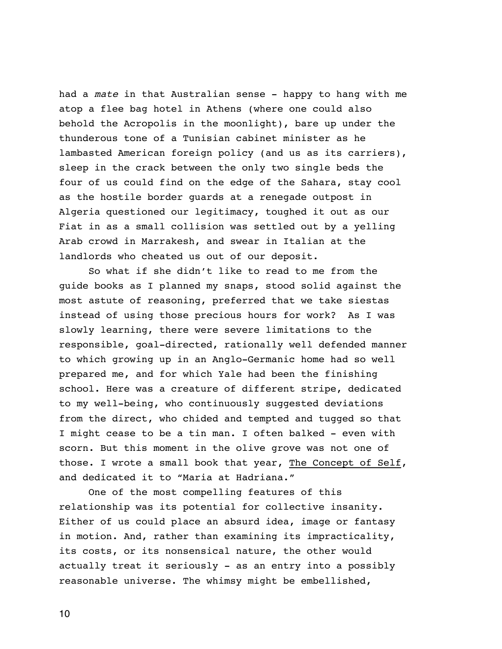had a mate in that Australian sense - happy to hang with me atop a flee bag hotel in Athens (where one could also behold the Acropolis in the moonlight), bare up under the thunderous tone of a Tunisian cabinet minister as he lambasted American foreign policy (and us as its carriers), sleep in the crack between the only two single beds the four of us could find on the edge of the Sahara, stay cool as the hostile border guards at a renegade outpost in Algeria questioned our legitimacy, toughed it out as our Fiat in as a small collision was settled out by a yelling Arab crowd in Marrakesh, and swear in Italian at the landlords who cheated us out of our deposit.

 So what if she didn't like to read to me from the guide books as I planned my snaps, stood solid against the most astute of reasoning, preferred that we take siestas instead of using those precious hours for work? As I was slowly learning, there were severe limitations to the responsible, goal-directed, rationally well defended manner to which growing up in an Anglo-Germanic home had so well prepared me, and for which Yale had been the finishing school. Here was a creature of different stripe, dedicated to my well-being, who continuously suggested deviations from the direct, who chided and tempted and tugged so that I might cease to be a tin man. I often balked - even with scorn. But this moment in the olive grove was not one of those. I wrote a small book that year, The Concept of Self, and dedicated it to "Maria at Hadriana."

 One of the most compelling features of this relationship was its potential for collective insanity. Either of us could place an absurd idea, image or fantasy in motion. And, rather than examining its impracticality, its costs, or its nonsensical nature, the other would actually treat it seriously - as an entry into a possibly reasonable universe. The whimsy might be embellished,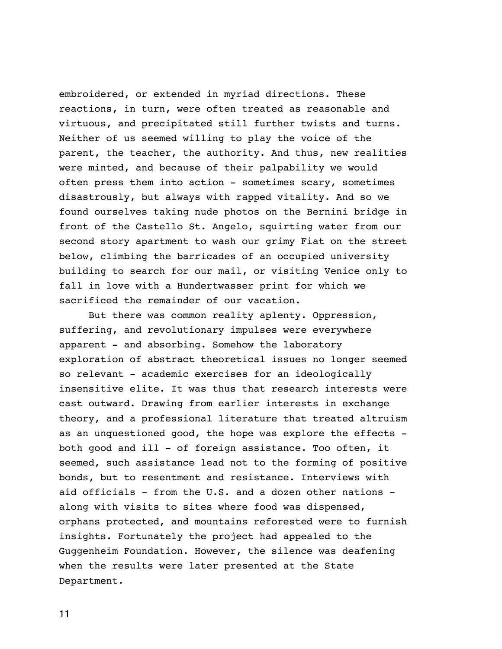embroidered, or extended in myriad directions. These reactions, in turn, were often treated as reasonable and virtuous, and precipitated still further twists and turns. Neither of us seemed willing to play the voice of the parent, the teacher, the authority. And thus, new realities were minted, and because of their palpability we would often press them into action - sometimes scary, sometimes disastrously, but always with rapped vitality. And so we found ourselves taking nude photos on the Bernini bridge in front of the Castello St. Angelo, squirting water from our second story apartment to wash our grimy Fiat on the street below, climbing the barricades of an occupied university building to search for our mail, or visiting Venice only to fall in love with a Hundertwasser print for which we sacrificed the remainder of our vacation.

 But there was common reality aplenty. Oppression, suffering, and revolutionary impulses were everywhere apparent - and absorbing. Somehow the laboratory exploration of abstract theoretical issues no longer seemed so relevant - academic exercises for an ideologically insensitive elite. It was thus that research interests were cast outward. Drawing from earlier interests in exchange theory, and a professional literature that treated altruism as an unquestioned good, the hope was explore the effects both good and ill - of foreign assistance. Too often, it seemed, such assistance lead not to the forming of positive bonds, but to resentment and resistance. Interviews with aid officials - from the U.S. and a dozen other nations along with visits to sites where food was dispensed, orphans protected, and mountains reforested were to furnish insights. Fortunately the project had appealed to the Guggenheim Foundation. However, the silence was deafening when the results were later presented at the State Department.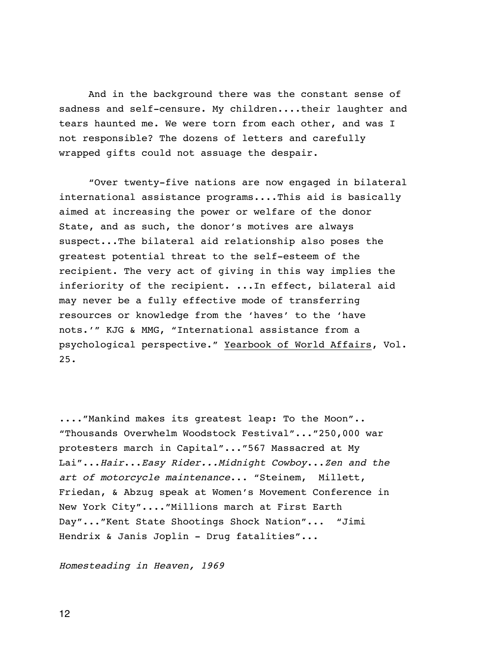And in the background there was the constant sense of sadness and self-censure. My children....their laughter and tears haunted me. We were torn from each other, and was I not responsible? The dozens of letters and carefully wrapped gifts could not assuage the despair.

 "Over twenty-five nations are now engaged in bilateral international assistance programs....This aid is basically aimed at increasing the power or welfare of the donor State, and as such, the donor's motives are always suspect...The bilateral aid relationship also poses the greatest potential threat to the self-esteem of the recipient. The very act of giving in this way implies the inferiority of the recipient. ...In effect, bilateral aid may never be a fully effective mode of transferring resources or knowledge from the 'haves' to the 'have nots.'" KJG & MMG, "International assistance from a psychological perspective." Yearbook of World Affairs, Vol. 25.

...."Mankind makes its greatest leap: To the Moon".. "Thousands Overwhelm Woodstock Festival"..."250,000 war protesters march in Capital"..."567 Massacred at My Lai"...Hair...Easy Rider...Midnight Cowboy...Zen and the art of motorcycle maintenance... "Steinem, Millett, Friedan, & Abzug speak at Women's Movement Conference in New York City"...."Millions march at First Earth Day"..."Kent State Shootings Shock Nation"... "Jimi Hendrix & Janis Joplin - Drug fatalities"...

Homesteading in Heaven, 1969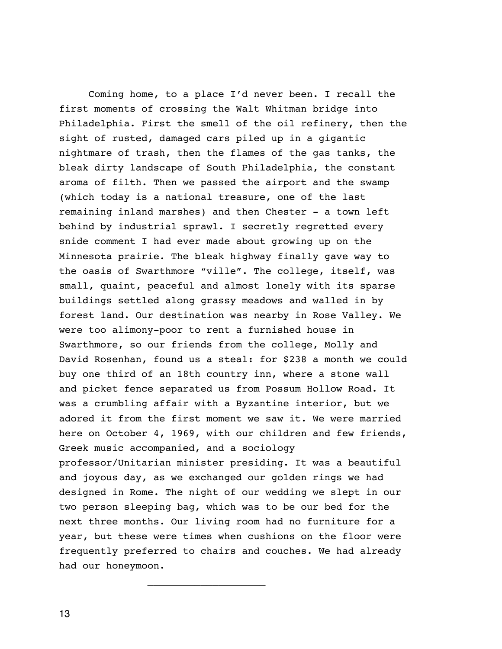Coming home, to a place I'd never been. I recall the first moments of crossing the Walt Whitman bridge into Philadelphia. First the smell of the oil refinery, then the sight of rusted, damaged cars piled up in a gigantic nightmare of trash, then the flames of the gas tanks, the bleak dirty landscape of South Philadelphia, the constant aroma of filth. Then we passed the airport and the swamp (which today is a national treasure, one of the last remaining inland marshes) and then Chester - a town left behind by industrial sprawl. I secretly regretted every snide comment I had ever made about growing up on the Minnesota prairie. The bleak highway finally gave way to the oasis of Swarthmore "ville". The college, itself, was small, quaint, peaceful and almost lonely with its sparse buildings settled along grassy meadows and walled in by forest land. Our destination was nearby in Rose Valley. We were too alimony-poor to rent a furnished house in Swarthmore, so our friends from the college, Molly and David Rosenhan, found us a steal: for \$238 a month we could buy one third of an 18th country inn, where a stone wall and picket fence separated us from Possum Hollow Road. It was a crumbling affair with a Byzantine interior, but we adored it from the first moment we saw it. We were married here on October 4, 1969, with our children and few friends, Greek music accompanied, and a sociology professor/Unitarian minister presiding. It was a beautiful and joyous day, as we exchanged our golden rings we had designed in Rome. The night of our wedding we slept in our two person sleeping bag, which was to be our bed for the next three months. Our living room had no furniture for a year, but these were times when cushions on the floor were frequently preferred to chairs and couches. We had already had our honeymoon.

 $\mathcal{L}_\text{max}$  and  $\mathcal{L}_\text{max}$  and  $\mathcal{L}_\text{max}$  and  $\mathcal{L}_\text{max}$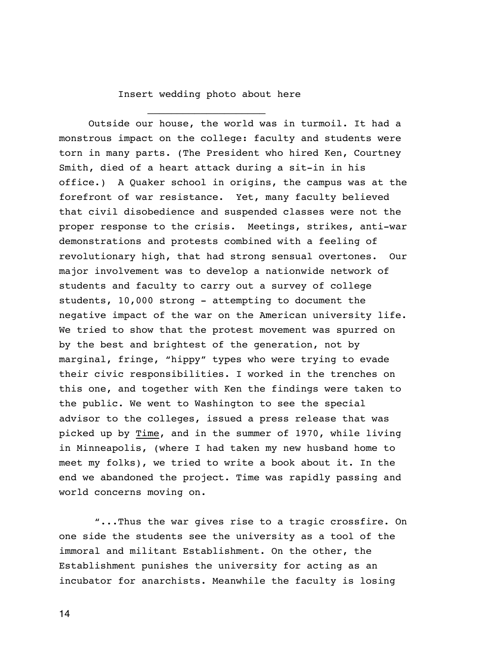#### Insert wedding photo about here

 $\mathcal{L}_\text{max}$  and  $\mathcal{L}_\text{max}$  and  $\mathcal{L}_\text{max}$  and  $\mathcal{L}_\text{max}$ 

 Outside our house, the world was in turmoil. It had a monstrous impact on the college: faculty and students were torn in many parts. (The President who hired Ken, Courtney Smith, died of a heart attack during a sit-in in his office.) A Quaker school in origins, the campus was at the forefront of war resistance. Yet, many faculty believed that civil disobedience and suspended classes were not the proper response to the crisis. Meetings, strikes, anti-war demonstrations and protests combined with a feeling of revolutionary high, that had strong sensual overtones. Our major involvement was to develop a nationwide network of students and faculty to carry out a survey of college students, 10,000 strong - attempting to document the negative impact of the war on the American university life. We tried to show that the protest movement was spurred on by the best and brightest of the generation, not by marginal, fringe, "hippy" types who were trying to evade their civic responsibilities. I worked in the trenches on this one, and together with Ken the findings were taken to the public. We went to Washington to see the special advisor to the colleges, issued a press release that was picked up by Time, and in the summer of 1970, while living in Minneapolis, (where I had taken my new husband home to meet my folks), we tried to write a book about it. In the end we abandoned the project. Time was rapidly passing and world concerns moving on.

 "...Thus the war gives rise to a tragic crossfire. On one side the students see the university as a tool of the immoral and militant Establishment. On the other, the Establishment punishes the university for acting as an incubator for anarchists. Meanwhile the faculty is losing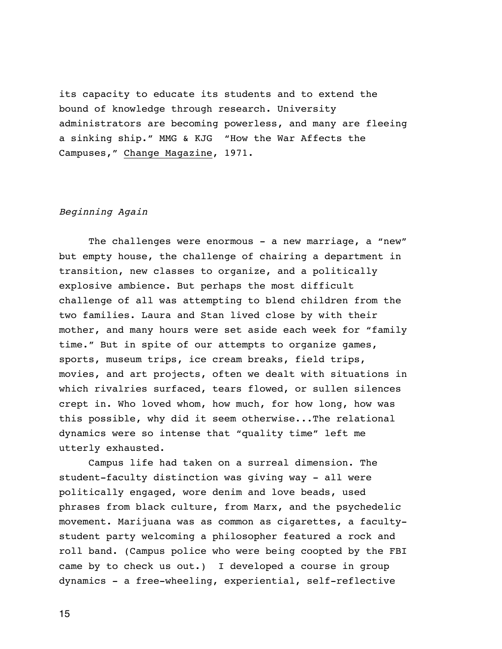its capacity to educate its students and to extend the bound of knowledge through research. University administrators are becoming powerless, and many are fleeing a sinking ship." MMG & KJG "How the War Affects the Campuses," Change Magazine, 1971.

# Beginning Again

The challenges were enormous - a new marriage, a "new" but empty house, the challenge of chairing a department in transition, new classes to organize, and a politically explosive ambience. But perhaps the most difficult challenge of all was attempting to blend children from the two families. Laura and Stan lived close by with their mother, and many hours were set aside each week for "family time." But in spite of our attempts to organize games, sports, museum trips, ice cream breaks, field trips, movies, and art projects, often we dealt with situations in which rivalries surfaced, tears flowed, or sullen silences crept in. Who loved whom, how much, for how long, how was this possible, why did it seem otherwise...The relational dynamics were so intense that "quality time" left me utterly exhausted.

 Campus life had taken on a surreal dimension. The student-faculty distinction was giving way - all were politically engaged, wore denim and love beads, used phrases from black culture, from Marx, and the psychedelic movement. Marijuana was as common as cigarettes, a facultystudent party welcoming a philosopher featured a rock and roll band. (Campus police who were being coopted by the FBI came by to check us out.) I developed a course in group dynamics - a free-wheeling, experiential, self-reflective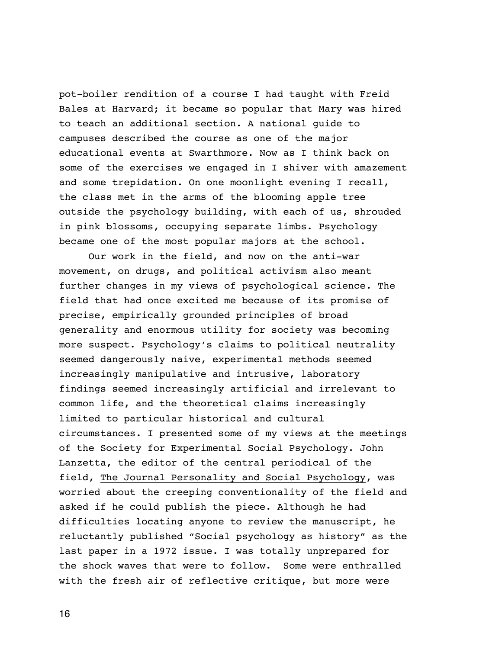pot-boiler rendition of a course I had taught with Freid Bales at Harvard; it became so popular that Mary was hired to teach an additional section. A national guide to campuses described the course as one of the major educational events at Swarthmore. Now as I think back on some of the exercises we engaged in I shiver with amazement and some trepidation. On one moonlight evening I recall, the class met in the arms of the blooming apple tree outside the psychology building, with each of us, shrouded in pink blossoms, occupying separate limbs. Psychology became one of the most popular majors at the school.

 Our work in the field, and now on the anti-war movement, on drugs, and political activism also meant further changes in my views of psychological science. The field that had once excited me because of its promise of precise, empirically grounded principles of broad generality and enormous utility for society was becoming more suspect. Psychology's claims to political neutrality seemed dangerously naive, experimental methods seemed increasingly manipulative and intrusive, laboratory findings seemed increasingly artificial and irrelevant to common life, and the theoretical claims increasingly limited to particular historical and cultural circumstances. I presented some of my views at the meetings of the Society for Experimental Social Psychology. John Lanzetta, the editor of the central periodical of the field, The Journal Personality and Social Psychology, was worried about the creeping conventionality of the field and asked if he could publish the piece. Although he had difficulties locating anyone to review the manuscript, he reluctantly published "Social psychology as history" as the last paper in a 1972 issue. I was totally unprepared for the shock waves that were to follow. Some were enthralled with the fresh air of reflective critique, but more were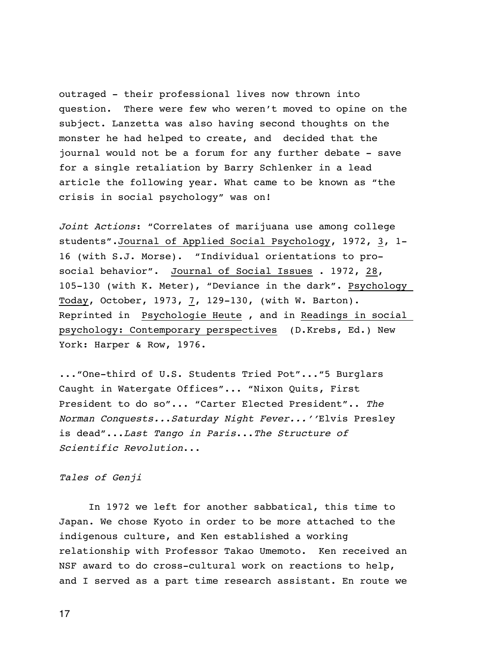outraged - their professional lives now thrown into question. There were few who weren't moved to opine on the subject. Lanzetta was also having second thoughts on the monster he had helped to create, and decided that the journal would not be a forum for any further debate - save for a single retaliation by Barry Schlenker in a lead article the following year. What came to be known as "the crisis in social psychology" was on!

Joint Actions: "Correlates of marijuana use among college students".Journal of Applied Social Psychology, 1972, 3, 1- 16 (with S.J. Morse). "Individual orientations to prosocial behavior". Journal of Social Issues . 1972, 28, 105-130 (with K. Meter), "Deviance in the dark". Psychology Today, October, 1973,  $7$ , 129-130, (with W. Barton). Reprinted in Psychologie Heute , and in Readings in social psychology: Contemporary perspectives (D.Krebs, Ed.) New York: Harper & Row, 1976.

..."One-third of U.S. Students Tried Pot"..."5 Burglars Caught in Watergate Offices"... "Nixon Quits, First President to do so"... "Carter Elected President".. The Norman Conquests...Saturday Night Fever...''Elvis Presley is dead"...Last Tango in Paris...The Structure of Scientific Revolution...

## Tales of Genji

 In 1972 we left for another sabbatical, this time to Japan. We chose Kyoto in order to be more attached to the indigenous culture, and Ken established a working relationship with Professor Takao Umemoto. Ken received an NSF award to do cross-cultural work on reactions to help, and I served as a part time research assistant. En route we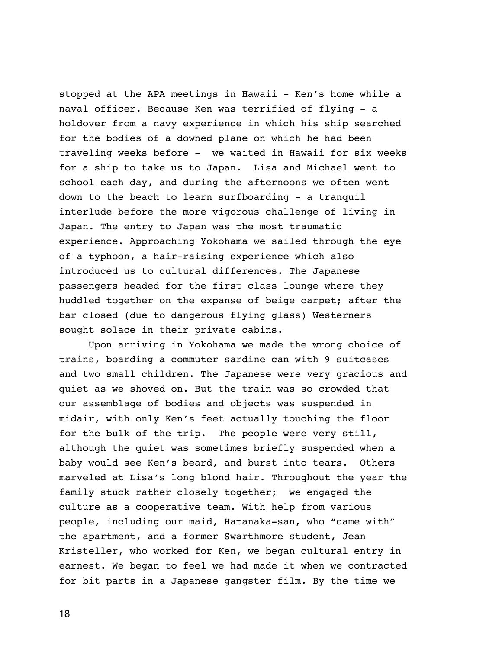stopped at the APA meetings in Hawaii - Ken's home while a naval officer. Because Ken was terrified of flying - a holdover from a navy experience in which his ship searched for the bodies of a downed plane on which he had been traveling weeks before - we waited in Hawaii for six weeks for a ship to take us to Japan. Lisa and Michael went to school each day, and during the afternoons we often went down to the beach to learn surfboarding - a tranquil interlude before the more vigorous challenge of living in Japan. The entry to Japan was the most traumatic experience. Approaching Yokohama we sailed through the eye of a typhoon, a hair-raising experience which also introduced us to cultural differences. The Japanese passengers headed for the first class lounge where they huddled together on the expanse of beige carpet; after the bar closed (due to dangerous flying glass) Westerners sought solace in their private cabins.

 Upon arriving in Yokohama we made the wrong choice of trains, boarding a commuter sardine can with 9 suitcases and two small children. The Japanese were very gracious and quiet as we shoved on. But the train was so crowded that our assemblage of bodies and objects was suspended in midair, with only Ken's feet actually touching the floor for the bulk of the trip. The people were very still, although the quiet was sometimes briefly suspended when a baby would see Ken's beard, and burst into tears. Others marveled at Lisa's long blond hair. Throughout the year the family stuck rather closely together; we engaged the culture as a cooperative team. With help from various people, including our maid, Hatanaka-san, who "came with" the apartment, and a former Swarthmore student, Jean Kristeller, who worked for Ken, we began cultural entry in earnest. We began to feel we had made it when we contracted for bit parts in a Japanese gangster film. By the time we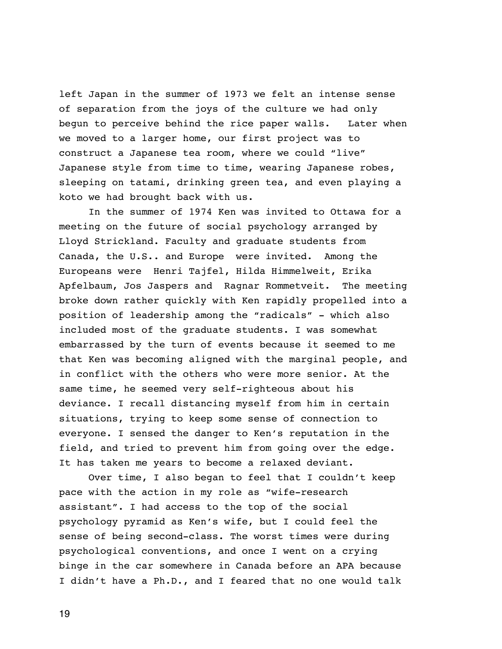left Japan in the summer of 1973 we felt an intense sense of separation from the joys of the culture we had only begun to perceive behind the rice paper walls. Later when we moved to a larger home, our first project was to construct a Japanese tea room, where we could "live" Japanese style from time to time, wearing Japanese robes, sleeping on tatami, drinking green tea, and even playing a koto we had brought back with us.

 In the summer of 1974 Ken was invited to Ottawa for a meeting on the future of social psychology arranged by Lloyd Strickland. Faculty and graduate students from Canada, the U.S.. and Europe were invited. Among the Europeans were Henri Tajfel, Hilda Himmelweit, Erika Apfelbaum, Jos Jaspers and Ragnar Rommetveit. The meeting broke down rather quickly with Ken rapidly propelled into a position of leadership among the "radicals" - which also included most of the graduate students. I was somewhat embarrassed by the turn of events because it seemed to me that Ken was becoming aligned with the marginal people, and in conflict with the others who were more senior. At the same time, he seemed very self-righteous about his deviance. I recall distancing myself from him in certain situations, trying to keep some sense of connection to everyone. I sensed the danger to Ken's reputation in the field, and tried to prevent him from going over the edge. It has taken me years to become a relaxed deviant.

 Over time, I also began to feel that I couldn't keep pace with the action in my role as "wife-research assistant". I had access to the top of the social psychology pyramid as Ken's wife, but I could feel the sense of being second-class. The worst times were during psychological conventions, and once I went on a crying binge in the car somewhere in Canada before an APA because I didn't have a Ph.D., and I feared that no one would talk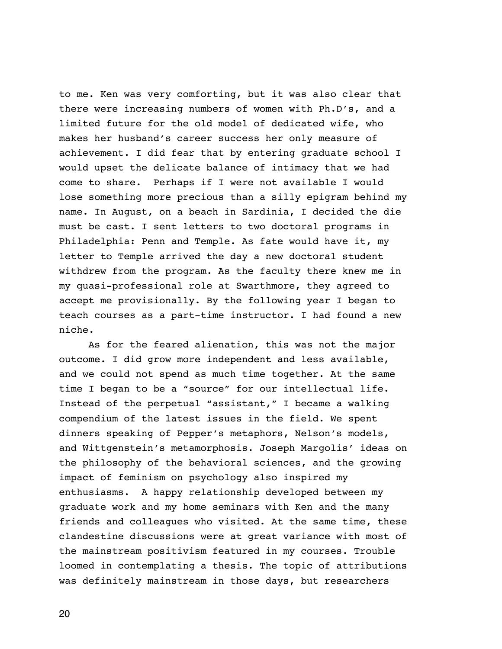to me. Ken was very comforting, but it was also clear that there were increasing numbers of women with Ph.D's, and a limited future for the old model of dedicated wife, who makes her husband's career success her only measure of achievement. I did fear that by entering graduate school I would upset the delicate balance of intimacy that we had come to share. Perhaps if I were not available I would lose something more precious than a silly epigram behind my name. In August, on a beach in Sardinia, I decided the die must be cast. I sent letters to two doctoral programs in Philadelphia: Penn and Temple. As fate would have it, my letter to Temple arrived the day a new doctoral student withdrew from the program. As the faculty there knew me in my quasi-professional role at Swarthmore, they agreed to accept me provisionally. By the following year I began to teach courses as a part-time instructor. I had found a new niche.

 As for the feared alienation, this was not the major outcome. I did grow more independent and less available, and we could not spend as much time together. At the same time I began to be a "source" for our intellectual life. Instead of the perpetual "assistant," I became a walking compendium of the latest issues in the field. We spent dinners speaking of Pepper's metaphors, Nelson's models, and Wittgenstein's metamorphosis. Joseph Margolis' ideas on the philosophy of the behavioral sciences, and the growing impact of feminism on psychology also inspired my enthusiasms. A happy relationship developed between my graduate work and my home seminars with Ken and the many friends and colleagues who visited. At the same time, these clandestine discussions were at great variance with most of the mainstream positivism featured in my courses. Trouble loomed in contemplating a thesis. The topic of attributions was definitely mainstream in those days, but researchers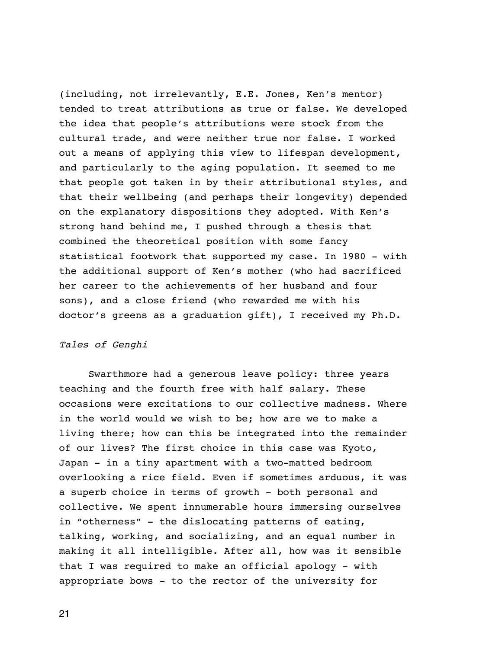(including, not irrelevantly, E.E. Jones, Ken's mentor) tended to treat attributions as true or false. We developed the idea that people's attributions were stock from the cultural trade, and were neither true nor false. I worked out a means of applying this view to lifespan development, and particularly to the aging population. It seemed to me that people got taken in by their attributional styles, and that their wellbeing (and perhaps their longevity) depended on the explanatory dispositions they adopted. With Ken's strong hand behind me, I pushed through a thesis that combined the theoretical position with some fancy statistical footwork that supported my case. In 1980 - with the additional support of Ken's mother (who had sacrificed her career to the achievements of her husband and four sons), and a close friend (who rewarded me with his doctor's greens as a graduation gift), I received my Ph.D.

## Tales of Genghi

 Swarthmore had a generous leave policy: three years teaching and the fourth free with half salary. These occasions were excitations to our collective madness. Where in the world would we wish to be; how are we to make a living there; how can this be integrated into the remainder of our lives? The first choice in this case was Kyoto, Japan - in a tiny apartment with a two-matted bedroom overlooking a rice field. Even if sometimes arduous, it was a superb choice in terms of growth - both personal and collective. We spent innumerable hours immersing ourselves in "otherness" - the dislocating patterns of eating, talking, working, and socializing, and an equal number in making it all intelligible. After all, how was it sensible that I was required to make an official apology - with appropriate bows - to the rector of the university for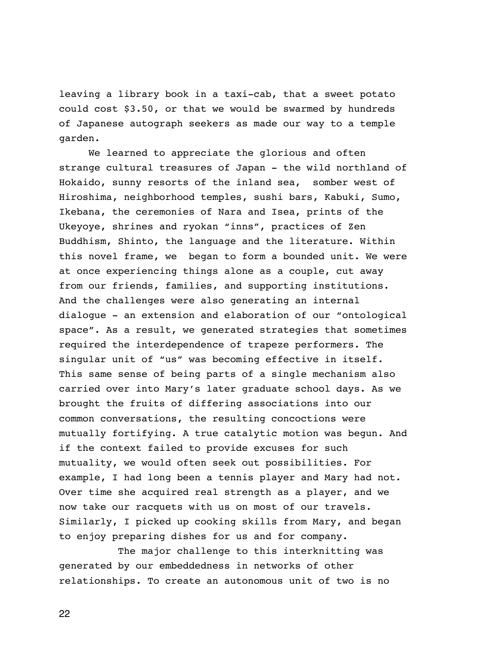leaving a library book in a taxi-cab, that a sweet potato could cost \$3.50, or that we would be swarmed by hundreds of Japanese autograph seekers as made our way to a temple garden.

 We learned to appreciate the glorious and often strange cultural treasures of Japan - the wild northland of Hokaido, sunny resorts of the inland sea, somber west of Hiroshima, neighborhood temples, sushi bars, Kabuki, Sumo, Ikebana, the ceremonies of Nara and Isea, prints of the Ukeyoye, shrines and ryokan "inns", practices of Zen Buddhism, Shinto, the language and the literature. Within this novel frame, we began to form a bounded unit. We were at once experiencing things alone as a couple, cut away from our friends, families, and supporting institutions. And the challenges were also generating an internal dialogue - an extension and elaboration of our "ontological space". As a result, we generated strategies that sometimes required the interdependence of trapeze performers. The singular unit of "us" was becoming effective in itself. This same sense of being parts of a single mechanism also carried over into Mary's later graduate school days. As we brought the fruits of differing associations into our common conversations, the resulting concoctions were mutually fortifying. A true catalytic motion was begun. And if the context failed to provide excuses for such mutuality, we would often seek out possibilities. For example, I had long been a tennis player and Mary had not. Over time she acquired real strength as a player, and we now take our racquets with us on most of our travels. Similarly, I picked up cooking skills from Mary, and began to enjoy preparing dishes for us and for company.

 The major challenge to this interknitting was generated by our embeddedness in networks of other relationships. To create an autonomous unit of two is no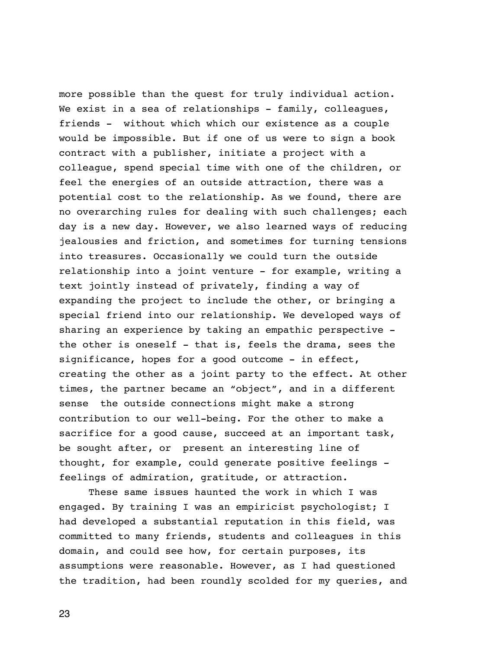more possible than the quest for truly individual action. We exist in a sea of relationships - family, colleagues, friends - without which which our existence as a couple would be impossible. But if one of us were to sign a book contract with a publisher, initiate a project with a colleague, spend special time with one of the children, or feel the energies of an outside attraction, there was a potential cost to the relationship. As we found, there are no overarching rules for dealing with such challenges; each day is a new day. However, we also learned ways of reducing jealousies and friction, and sometimes for turning tensions into treasures. Occasionally we could turn the outside relationship into a joint venture - for example, writing a text jointly instead of privately, finding a way of expanding the project to include the other, or bringing a special friend into our relationship. We developed ways of sharing an experience by taking an empathic perspective the other is oneself - that is, feels the drama, sees the significance, hopes for a good outcome - in effect, creating the other as a joint party to the effect. At other times, the partner became an "object", and in a different sense the outside connections might make a strong contribution to our well-being. For the other to make a sacrifice for a good cause, succeed at an important task, be sought after, or present an interesting line of thought, for example, could generate positive feelings feelings of admiration, gratitude, or attraction.

 These same issues haunted the work in which I was engaged. By training I was an empiricist psychologist; I had developed a substantial reputation in this field, was committed to many friends, students and colleagues in this domain, and could see how, for certain purposes, its assumptions were reasonable. However, as I had questioned the tradition, had been roundly scolded for my queries, and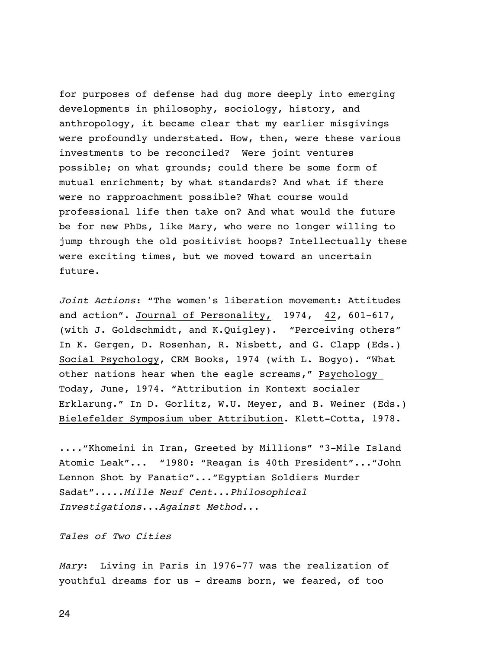for purposes of defense had dug more deeply into emerging developments in philosophy, sociology, history, and anthropology, it became clear that my earlier misgivings were profoundly understated. How, then, were these various investments to be reconciled? Were joint ventures possible; on what grounds; could there be some form of mutual enrichment; by what standards? And what if there were no rapproachment possible? What course would professional life then take on? And what would the future be for new PhDs, like Mary, who were no longer willing to jump through the old positivist hoops? Intellectually these were exciting times, but we moved toward an uncertain future.

Joint Actions: "The women's liberation movement: Attitudes and action". Journal of Personality,  $1974$ ,  $42$ ,  $601-617$ , (with J. Goldschmidt, and K.Quigley). "Perceiving others" In K. Gergen, D. Rosenhan, R. Nisbett, and G. Clapp (Eds.) Social Psychology, CRM Books, 1974 (with L. Bogyo). "What other nations hear when the eagle screams," Psychology Today, June, 1974. "Attribution in Kontext socialer Erklarung." In D. Gorlitz, W.U. Meyer, and B. Weiner (Eds.) Bielefelder Symposium uber Attribution. Klett-Cotta, 1978.

...."Khomeini in Iran, Greeted by Millions" "3-Mile Island Atomic Leak"... "1980: "Reagan is 40th President"..."John Lennon Shot by Fanatic"..."Egyptian Soldiers Murder Sadat".....Mille Neuf Cent...Philosophical Investigations...Against Method...

Tales of Two Cities

Mary: Living in Paris in 1976-77 was the realization of youthful dreams for us - dreams born, we feared, of too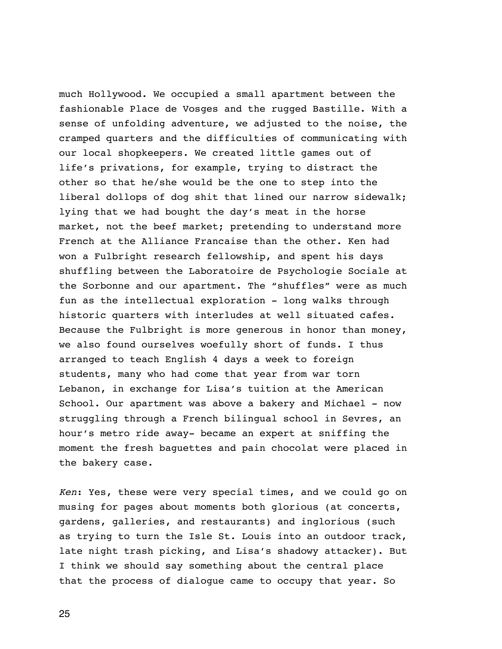much Hollywood. We occupied a small apartment between the fashionable Place de Vosges and the rugged Bastille. With a sense of unfolding adventure, we adjusted to the noise, the cramped quarters and the difficulties of communicating with our local shopkeepers. We created little games out of life's privations, for example, trying to distract the other so that he/she would be the one to step into the liberal dollops of dog shit that lined our narrow sidewalk; lying that we had bought the day's meat in the horse market, not the beef market; pretending to understand more French at the Alliance Francaise than the other. Ken had won a Fulbright research fellowship, and spent his days shuffling between the Laboratoire de Psychologie Sociale at the Sorbonne and our apartment. The "shuffles" were as much fun as the intellectual exploration - long walks through historic quarters with interludes at well situated cafes. Because the Fulbright is more generous in honor than money, we also found ourselves woefully short of funds. I thus arranged to teach English 4 days a week to foreign students, many who had come that year from war torn Lebanon, in exchange for Lisa's tuition at the American School. Our apartment was above a bakery and Michael - now struggling through a French bilingual school in Sevres, an hour's metro ride away- became an expert at sniffing the moment the fresh baguettes and pain chocolat were placed in the bakery case.

Ken: Yes, these were very special times, and we could go on musing for pages about moments both glorious (at concerts, gardens, galleries, and restaurants) and inglorious (such as trying to turn the Isle St. Louis into an outdoor track, late night trash picking, and Lisa's shadowy attacker). But I think we should say something about the central place that the process of dialogue came to occupy that year. So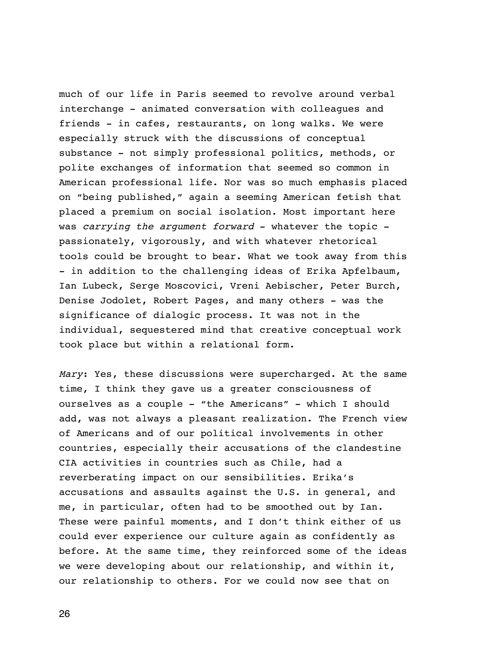much of our life in Paris seemed to revolve around verbal interchange - animated conversation with colleagues and friends - in cafes, restaurants, on long walks. We were especially struck with the discussions of conceptual substance - not simply professional politics, methods, or polite exchanges of information that seemed so common in American professional life. Nor was so much emphasis placed on "being published," again a seeming American fetish that placed a premium on social isolation. Most important here was carrying the argument forward - whatever the topic passionately, vigorously, and with whatever rhetorical tools could be brought to bear. What we took away from this - in addition to the challenging ideas of Erika Apfelbaum, Ian Lubeck, Serge Moscovici, Vreni Aebischer, Peter Burch, Denise Jodolet, Robert Pages, and many others - was the significance of dialogic process. It was not in the individual, sequestered mind that creative conceptual work took place but within a relational form.

Mary: Yes, these discussions were supercharged. At the same time, I think they gave us a greater consciousness of ourselves as a couple - "the Americans" - which I should add, was not always a pleasant realization. The French view of Americans and of our political involvements in other countries, especially their accusations of the clandestine CIA activities in countries such as Chile, had a reverberating impact on our sensibilities. Erika's accusations and assaults against the U.S. in general, and me, in particular, often had to be smoothed out by Ian. These were painful moments, and I don't think either of us could ever experience our culture again as confidently as before. At the same time, they reinforced some of the ideas we were developing about our relationship, and within it, our relationship to others. For we could now see that on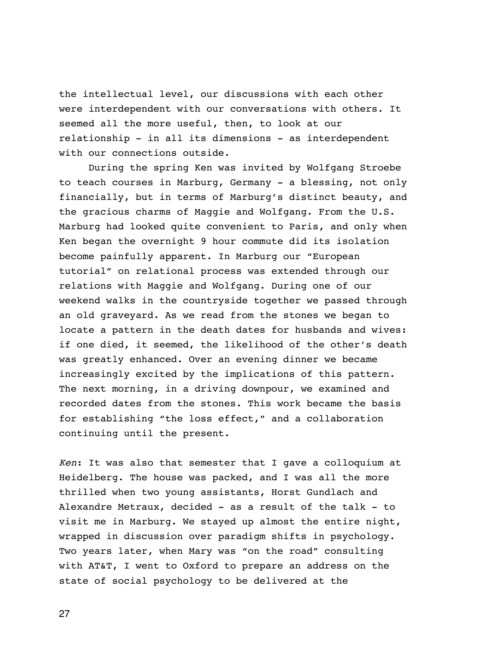the intellectual level, our discussions with each other were interdependent with our conversations with others. It seemed all the more useful, then, to look at our relationship - in all its dimensions - as interdependent with our connections outside.

 During the spring Ken was invited by Wolfgang Stroebe to teach courses in Marburg, Germany - a blessing, not only financially, but in terms of Marburg's distinct beauty, and the gracious charms of Maggie and Wolfgang. From the U.S. Marburg had looked quite convenient to Paris, and only when Ken began the overnight 9 hour commute did its isolation become painfully apparent. In Marburg our "European tutorial" on relational process was extended through our relations with Maggie and Wolfgang. During one of our weekend walks in the countryside together we passed through an old graveyard. As we read from the stones we began to locate a pattern in the death dates for husbands and wives: if one died, it seemed, the likelihood of the other's death was greatly enhanced. Over an evening dinner we became increasingly excited by the implications of this pattern. The next morning, in a driving downpour, we examined and recorded dates from the stones. This work became the basis for establishing "the loss effect," and a collaboration continuing until the present.

Ken: It was also that semester that I gave a colloquium at Heidelberg. The house was packed, and I was all the more thrilled when two young assistants, Horst Gundlach and Alexandre Metraux, decided - as a result of the talk - to visit me in Marburg. We stayed up almost the entire night, wrapped in discussion over paradigm shifts in psychology. Two years later, when Mary was "on the road" consulting with AT&T, I went to Oxford to prepare an address on the state of social psychology to be delivered at the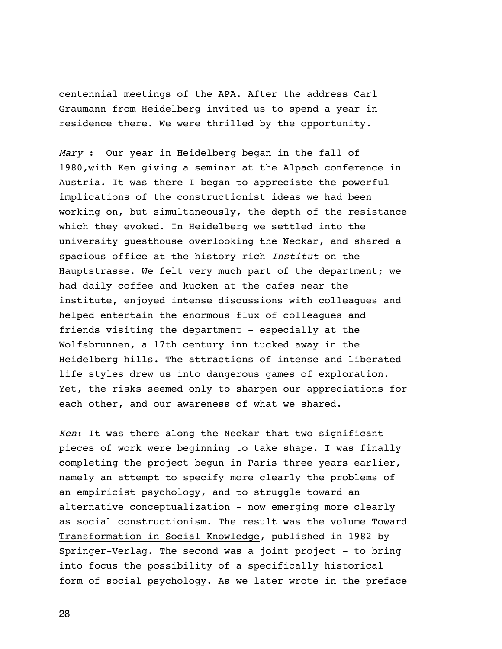centennial meetings of the APA. After the address Carl Graumann from Heidelberg invited us to spend a year in residence there. We were thrilled by the opportunity.

Mary : Our year in Heidelberg began in the fall of 1980,with Ken giving a seminar at the Alpach conference in Austria. It was there I began to appreciate the powerful implications of the constructionist ideas we had been working on, but simultaneously, the depth of the resistance which they evoked. In Heidelberg we settled into the university guesthouse overlooking the Neckar, and shared a spacious office at the history rich Institut on the Hauptstrasse. We felt very much part of the department; we had daily coffee and kucken at the cafes near the institute, enjoyed intense discussions with colleagues and helped entertain the enormous flux of colleagues and friends visiting the department - especially at the Wolfsbrunnen, a 17th century inn tucked away in the Heidelberg hills. The attractions of intense and liberated life styles drew us into dangerous games of exploration. Yet, the risks seemed only to sharpen our appreciations for each other, and our awareness of what we shared.

Ken: It was there along the Neckar that two significant pieces of work were beginning to take shape. I was finally completing the project begun in Paris three years earlier, namely an attempt to specify more clearly the problems of an empiricist psychology, and to struggle toward an alternative conceptualization - now emerging more clearly as social constructionism. The result was the volume Toward Transformation in Social Knowledge, published in 1982 by Springer-Verlag. The second was a joint project - to bring into focus the possibility of a specifically historical form of social psychology. As we later wrote in the preface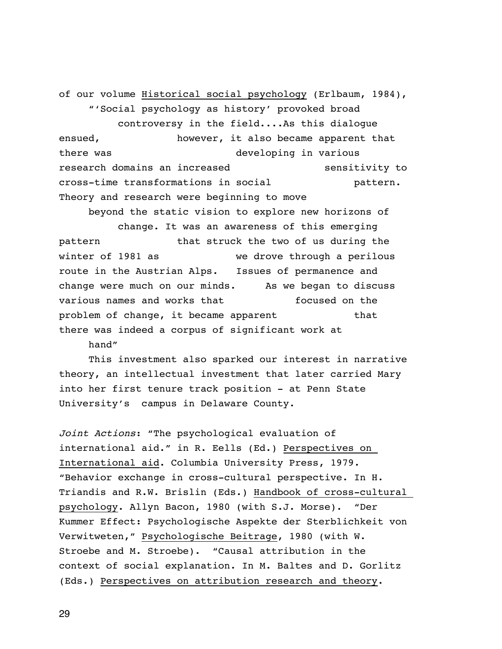of our volume Historical social psychology (Erlbaum, 1984), "'Social psychology as history' provoked broad controversy in the field....As this dialogue ensued, however, it also became apparent that there was developing in various research domains an increased sensitivity to cross-time transformations in social pattern. Theory and research were beginning to move

 beyond the static vision to explore new horizons of change. It was an awareness of this emerging pattern that struck the two of us during the winter of 1981 as **we drove through a perilous** route in the Austrian Alps. Issues of permanence and change were much on our minds. As we began to discuss various names and works that focused on the problem of change, it became apparent that there was indeed a corpus of significant work at

## hand"

 This investment also sparked our interest in narrative theory, an intellectual investment that later carried Mary into her first tenure track position - at Penn State University's campus in Delaware County.

Joint Actions: "The psychological evaluation of international aid." in R. Eells (Ed.) Perspectives on International aid. Columbia University Press, 1979. "Behavior exchange in cross-cultural perspective. In H. Triandis and R.W. Brislin (Eds.) Handbook of cross-cultural psychology. Allyn Bacon, 1980 (with S.J. Morse). "Der Kummer Effect: Psychologische Aspekte der Sterblichkeit von Verwitweten," Psychologische Beitrage, 1980 (with W. Stroebe and M. Stroebe). "Causal attribution in the context of social explanation. In M. Baltes and D. Gorlitz (Eds.) Perspectives on attribution research and theory.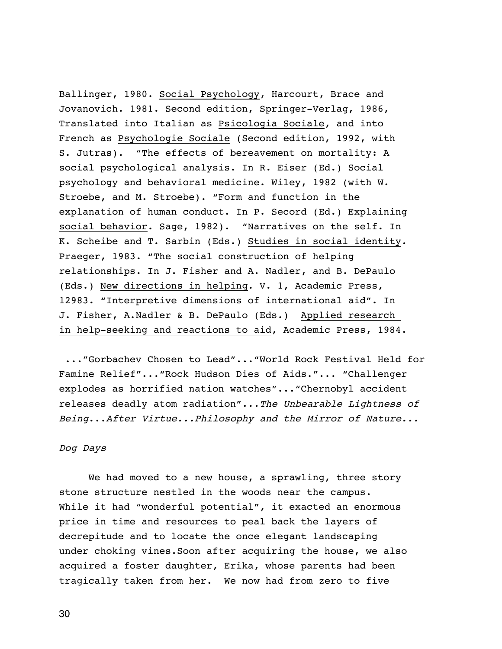Ballinger, 1980. Social Psychology, Harcourt, Brace and Jovanovich. 1981. Second edition, Springer-Verlag, 1986, Translated into Italian as Psicologia Sociale, and into French as Psychologie Sociale (Second edition, 1992, with S. Jutras). "The effects of bereavement on mortality: A social psychological analysis. In R. Eiser (Ed.) Social psychology and behavioral medicine. Wiley, 1982 (with W. Stroebe, and M. Stroebe). "Form and function in the explanation of human conduct. In P. Secord (Ed.) Explaining social behavior. Sage, 1982). "Narratives on the self. In K. Scheibe and T. Sarbin (Eds.) Studies in social identity. Praeger, 1983. "The social construction of helping relationships. In J. Fisher and A. Nadler, and B. DePaulo (Eds.) New directions in helping. V. 1, Academic Press, 12983. "Interpretive dimensions of international aid". In J. Fisher, A.Nadler & B. DePaulo (Eds.) Applied research in help-seeking and reactions to aid, Academic Press, 1984.

 ..."Gorbachev Chosen to Lead"..."World Rock Festival Held for Famine Relief"..."Rock Hudson Dies of Aids."... "Challenger explodes as horrified nation watches"..."Chernobyl accident releases deadly atom radiation"...The Unbearable Lightness of Being...After Virtue...Philosophy and the Mirror of Nature...

#### Dog Days

We had moved to a new house, a sprawling, three story stone structure nestled in the woods near the campus. While it had "wonderful potential", it exacted an enormous price in time and resources to peal back the layers of decrepitude and to locate the once elegant landscaping under choking vines.Soon after acquiring the house, we also acquired a foster daughter, Erika, whose parents had been tragically taken from her. We now had from zero to five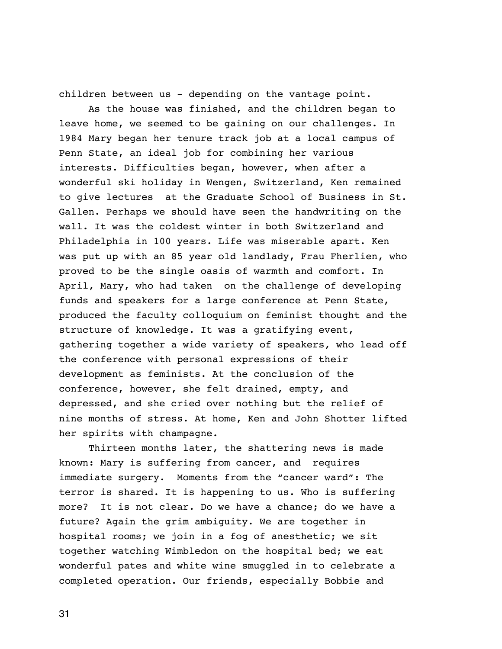children between us - depending on the vantage point.

 As the house was finished, and the children began to leave home, we seemed to be gaining on our challenges. In 1984 Mary began her tenure track job at a local campus of Penn State, an ideal job for combining her various interests. Difficulties began, however, when after a wonderful ski holiday in Wengen, Switzerland, Ken remained to give lectures at the Graduate School of Business in St. Gallen. Perhaps we should have seen the handwriting on the wall. It was the coldest winter in both Switzerland and Philadelphia in 100 years. Life was miserable apart. Ken was put up with an 85 year old landlady, Frau Fherlien, who proved to be the single oasis of warmth and comfort. In April, Mary, who had taken on the challenge of developing funds and speakers for a large conference at Penn State, produced the faculty colloquium on feminist thought and the structure of knowledge. It was a gratifying event, gathering together a wide variety of speakers, who lead off the conference with personal expressions of their development as feminists. At the conclusion of the conference, however, she felt drained, empty, and depressed, and she cried over nothing but the relief of nine months of stress. At home, Ken and John Shotter lifted her spirits with champagne.

 Thirteen months later, the shattering news is made known: Mary is suffering from cancer, and requires immediate surgery. Moments from the "cancer ward": The terror is shared. It is happening to us. Who is suffering more? It is not clear. Do we have a chance; do we have a future? Again the grim ambiguity. We are together in hospital rooms; we join in a fog of anesthetic; we sit together watching Wimbledon on the hospital bed; we eat wonderful pates and white wine smuggled in to celebrate a completed operation. Our friends, especially Bobbie and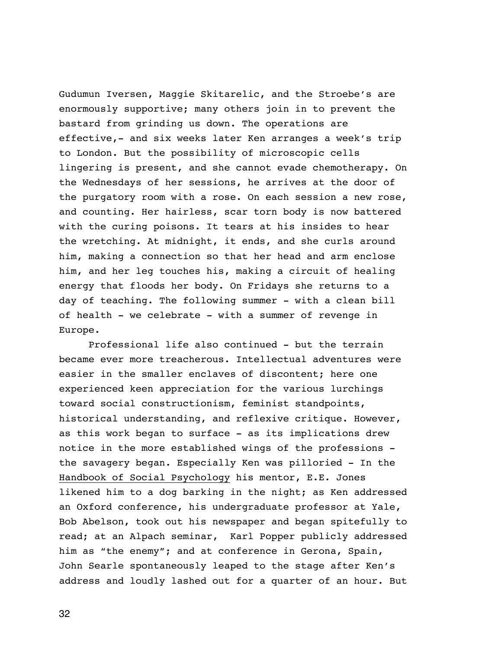Gudumun Iversen, Maggie Skitarelic, and the Stroebe's are enormously supportive; many others join in to prevent the bastard from grinding us down. The operations are effective,- and six weeks later Ken arranges a week's trip to London. But the possibility of microscopic cells lingering is present, and she cannot evade chemotherapy. On the Wednesdays of her sessions, he arrives at the door of the purgatory room with a rose. On each session a new rose, and counting. Her hairless, scar torn body is now battered with the curing poisons. It tears at his insides to hear the wretching. At midnight, it ends, and she curls around him, making a connection so that her head and arm enclose him, and her leg touches his, making a circuit of healing energy that floods her body. On Fridays she returns to a day of teaching. The following summer - with a clean bill of health - we celebrate - with a summer of revenge in Europe.

 Professional life also continued - but the terrain became ever more treacherous. Intellectual adventures were easier in the smaller enclaves of discontent; here one experienced keen appreciation for the various lurchings toward social constructionism, feminist standpoints, historical understanding, and reflexive critique. However, as this work began to surface - as its implications drew notice in the more established wings of the professions the savagery began. Especially Ken was pilloried - In the Handbook of Social Psychology his mentor, E.E. Jones likened him to a dog barking in the night; as Ken addressed an Oxford conference, his undergraduate professor at Yale, Bob Abelson, took out his newspaper and began spitefully to read; at an Alpach seminar, Karl Popper publicly addressed him as "the enemy"; and at conference in Gerona, Spain, John Searle spontaneously leaped to the stage after Ken's address and loudly lashed out for a quarter of an hour. But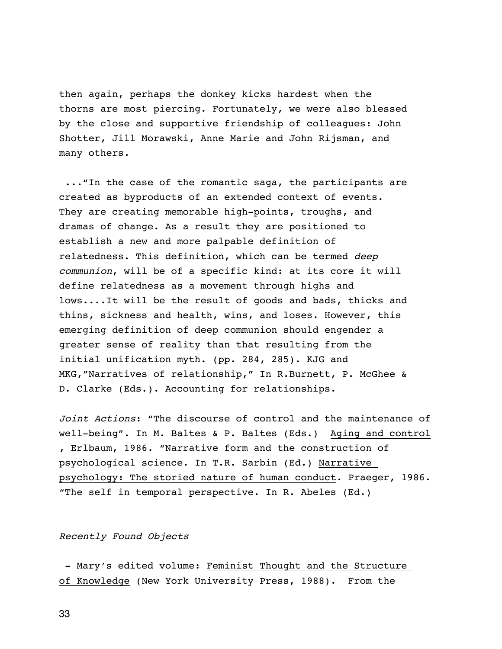then again, perhaps the donkey kicks hardest when the thorns are most piercing. Fortunately, we were also blessed by the close and supportive friendship of colleagues: John Shotter, Jill Morawski, Anne Marie and John Rijsman, and many others.

 ..."In the case of the romantic saga, the participants are created as byproducts of an extended context of events. They are creating memorable high-points, troughs, and dramas of change. As a result they are positioned to establish a new and more palpable definition of relatedness. This definition, which can be termed deep communion, will be of a specific kind: at its core it will define relatedness as a movement through highs and lows....It will be the result of goods and bads, thicks and thins, sickness and health, wins, and loses. However, this emerging definition of deep communion should engender a greater sense of reality than that resulting from the initial unification myth. (pp. 284, 285). KJG and MKG, "Narratives of relationship," In R.Burnett, P. McGhee & D. Clarke (Eds.). Accounting for relationships.

Joint Actions: "The discourse of control and the maintenance of well-being". In M. Baltes & P. Baltes (Eds.) Aging and control , Erlbaum, 1986. "Narrative form and the construction of psychological science. In T.R. Sarbin (Ed.) Narrative psychology: The storied nature of human conduct. Praeger, 1986. "The self in temporal perspective. In R. Abeles (Ed.)

Recently Found Objects

 - Mary's edited volume: Feminist Thought and the Structure of Knowledge (New York University Press, 1988). From the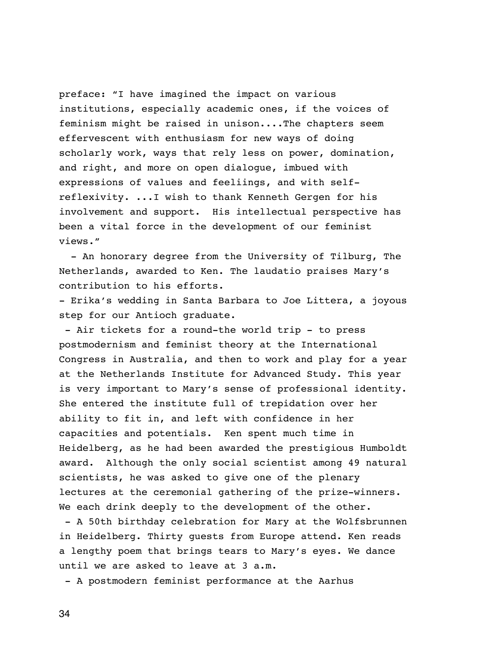preface: "I have imagined the impact on various institutions, especially academic ones, if the voices of feminism might be raised in unison....The chapters seem effervescent with enthusiasm for new ways of doing scholarly work, ways that rely less on power, domination, and right, and more on open dialogue, imbued with expressions of values and feeliings, and with selfreflexivity. ...I wish to thank Kenneth Gergen for his involvement and support. His intellectual perspective has been a vital force in the development of our feminist views."

 - An honorary degree from the University of Tilburg, The Netherlands, awarded to Ken. The laudatio praises Mary's contribution to his efforts.

- Erika's wedding in Santa Barbara to Joe Littera, a joyous step for our Antioch graduate.

- Air tickets for a round-the world trip - to press postmodernism and feminist theory at the International Congress in Australia, and then to work and play for a year at the Netherlands Institute for Advanced Study. This year is very important to Mary's sense of professional identity. She entered the institute full of trepidation over her ability to fit in, and left with confidence in her capacities and potentials. Ken spent much time in Heidelberg, as he had been awarded the prestigious Humboldt award. Although the only social scientist among 49 natural scientists, he was asked to give one of the plenary lectures at the ceremonial gathering of the prize-winners. We each drink deeply to the development of the other.

 - A 50th birthday celebration for Mary at the Wolfsbrunnen in Heidelberg. Thirty guests from Europe attend. Ken reads a lengthy poem that brings tears to Mary's eyes. We dance until we are asked to leave at 3 a.m.

- A postmodern feminist performance at the Aarhus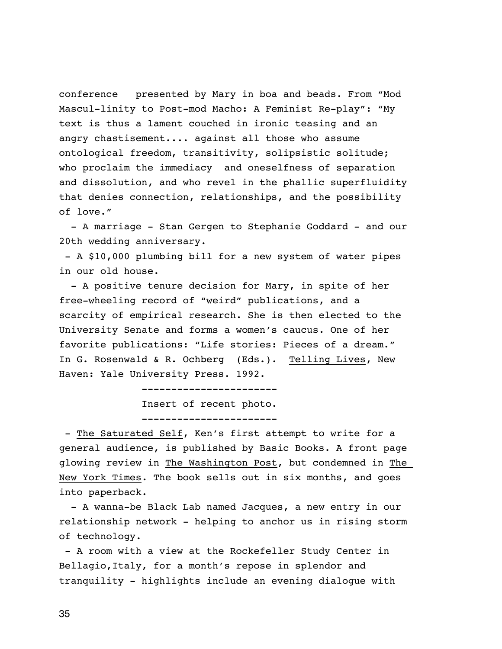conference presented by Mary in boa and beads. From "Mod Mascul-linity to Post-mod Macho: A Feminist Re-play": "My text is thus a lament couched in ironic teasing and an angry chastisement.... against all those who assume ontological freedom, transitivity, solipsistic solitude; who proclaim the immediacy and oneselfness of separation and dissolution, and who revel in the phallic superfluidity that denies connection, relationships, and the possibility of love."

 - A marriage - Stan Gergen to Stephanie Goddard - and our 20th wedding anniversary.

 - A \$10,000 plumbing bill for a new system of water pipes in our old house.

 - A positive tenure decision for Mary, in spite of her free-wheeling record of "weird" publications, and a scarcity of empirical research. She is then elected to the University Senate and forms a women's caucus. One of her favorite publications: "Life stories: Pieces of a dream." In G. Rosenwald & R. Ochberg (Eds.). Telling Lives, New Haven: Yale University Press. 1992.

-----------------------

Insert of recent photo.

-----------------------

 - The Saturated Self, Ken's first attempt to write for a general audience, is published by Basic Books. A front page glowing review in The Washington Post, but condemned in The New York Times. The book sells out in six months, and goes into paperback.

 - A wanna-be Black Lab named Jacques, a new entry in our relationship network - helping to anchor us in rising storm of technology.

 - A room with a view at the Rockefeller Study Center in Bellagio,Italy, for a month's repose in splendor and tranquility - highlights include an evening dialogue with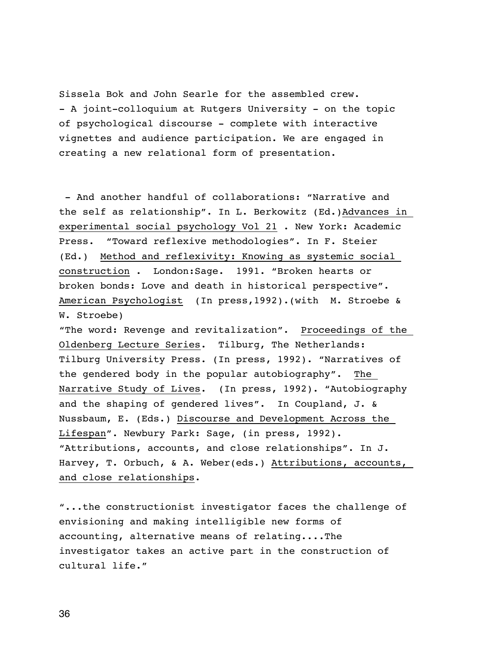Sissela Bok and John Searle for the assembled crew. - A joint-colloquium at Rutgers University - on the topic of psychological discourse - complete with interactive vignettes and audience participation. We are engaged in creating a new relational form of presentation.

 - And another handful of collaborations: "Narrative and the self as relationship". In L. Berkowitz (Ed.) Advances in experimental social psychology Vol 21 . New York: Academic Press. "Toward reflexive methodologies". In F. Steier (Ed.) Method and reflexivity: Knowing as systemic social construction . London:Sage. 1991. "Broken hearts or broken bonds: Love and death in historical perspective". American Psychologist (In press,1992).(with M. Stroebe & W. Stroebe) "The word: Revenge and revitalization". Proceedings of the Oldenberg Lecture Series. Tilburg, The Netherlands: Tilburg University Press. (In press, 1992). "Narratives of the gendered body in the popular autobiography". The Narrative Study of Lives. (In press, 1992). "Autobiography and the shaping of gendered lives". In Coupland, J. & Nussbaum, E. (Eds.) Discourse and Development Across the Lifespan". Newbury Park: Sage, (in press, 1992). "Attributions, accounts, and close relationships". In J. Harvey, T. Orbuch, & A. Weber(eds.) Attributions, accounts,

and close relationships.

"...the constructionist investigator faces the challenge of envisioning and making intelligible new forms of accounting, alternative means of relating....The investigator takes an active part in the construction of cultural life."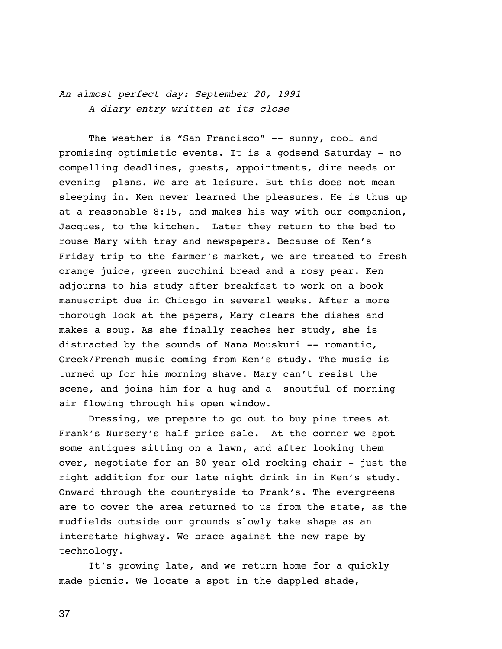An almost perfect day: September 20, 1991 A diary entry written at its close

The weather is "San Francisco" -- sunny, cool and promising optimistic events. It is a godsend Saturday - no compelling deadlines, guests, appointments, dire needs or evening plans. We are at leisure. But this does not mean sleeping in. Ken never learned the pleasures. He is thus up at a reasonable 8:15, and makes his way with our companion, Jacques, to the kitchen. Later they return to the bed to rouse Mary with tray and newspapers. Because of Ken's Friday trip to the farmer's market, we are treated to fresh orange juice, green zucchini bread and a rosy pear. Ken adjourns to his study after breakfast to work on a book manuscript due in Chicago in several weeks. After a more thorough look at the papers, Mary clears the dishes and makes a soup. As she finally reaches her study, she is distracted by the sounds of Nana Mouskuri -- romantic, Greek/French music coming from Ken's study. The music is turned up for his morning shave. Mary can't resist the scene, and joins him for a hug and a snoutful of morning air flowing through his open window.

 Dressing, we prepare to go out to buy pine trees at Frank's Nursery's half price sale. At the corner we spot some antiques sitting on a lawn, and after looking them over, negotiate for an 80 year old rocking chair - just the right addition for our late night drink in in Ken's study. Onward through the countryside to Frank's. The evergreens are to cover the area returned to us from the state, as the mudfields outside our grounds slowly take shape as an interstate highway. We brace against the new rape by technology.

 It's growing late, and we return home for a quickly made picnic. We locate a spot in the dappled shade,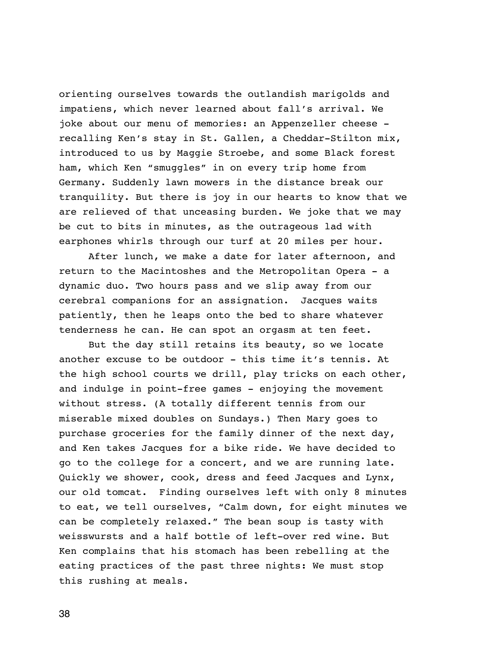orienting ourselves towards the outlandish marigolds and impatiens, which never learned about fall's arrival. We joke about our menu of memories: an Appenzeller cheese recalling Ken's stay in St. Gallen, a Cheddar-Stilton mix, introduced to us by Maggie Stroebe, and some Black forest ham, which Ken "smuggles" in on every trip home from Germany. Suddenly lawn mowers in the distance break our tranquility. But there is joy in our hearts to know that we are relieved of that unceasing burden. We joke that we may be cut to bits in minutes, as the outrageous lad with earphones whirls through our turf at 20 miles per hour.

 After lunch, we make a date for later afternoon, and return to the Macintoshes and the Metropolitan Opera - a dynamic duo. Two hours pass and we slip away from our cerebral companions for an assignation. Jacques waits patiently, then he leaps onto the bed to share whatever tenderness he can. He can spot an orgasm at ten feet.

 But the day still retains its beauty, so we locate another excuse to be outdoor - this time it's tennis. At the high school courts we drill, play tricks on each other, and indulge in point-free games - enjoying the movement without stress. (A totally different tennis from our miserable mixed doubles on Sundays.) Then Mary goes to purchase groceries for the family dinner of the next day, and Ken takes Jacques for a bike ride. We have decided to go to the college for a concert, and we are running late. Quickly we shower, cook, dress and feed Jacques and Lynx, our old tomcat. Finding ourselves left with only 8 minutes to eat, we tell ourselves, "Calm down, for eight minutes we can be completely relaxed." The bean soup is tasty with weisswursts and a half bottle of left-over red wine. But Ken complains that his stomach has been rebelling at the eating practices of the past three nights: We must stop this rushing at meals.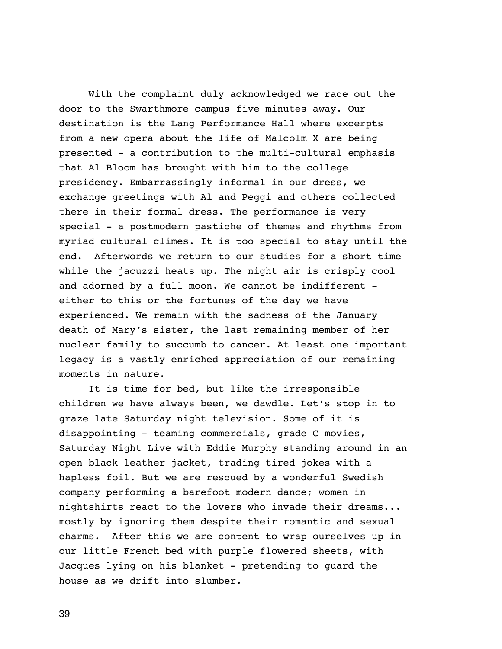With the complaint duly acknowledged we race out the door to the Swarthmore campus five minutes away. Our destination is the Lang Performance Hall where excerpts from a new opera about the life of Malcolm X are being presented - a contribution to the multi-cultural emphasis that Al Bloom has brought with him to the college presidency. Embarrassingly informal in our dress, we exchange greetings with Al and Peggi and others collected there in their formal dress. The performance is very special - a postmodern pastiche of themes and rhythms from myriad cultural climes. It is too special to stay until the end. Afterwords we return to our studies for a short time while the jacuzzi heats up. The night air is crisply cool and adorned by a full moon. We cannot be indifferent either to this or the fortunes of the day we have experienced. We remain with the sadness of the January death of Mary's sister, the last remaining member of her nuclear family to succumb to cancer. At least one important legacy is a vastly enriched appreciation of our remaining moments in nature.

 It is time for bed, but like the irresponsible children we have always been, we dawdle. Let's stop in to graze late Saturday night television. Some of it is disappointing - teaming commercials, grade C movies, Saturday Night Live with Eddie Murphy standing around in an open black leather jacket, trading tired jokes with a hapless foil. But we are rescued by a wonderful Swedish company performing a barefoot modern dance; women in nightshirts react to the lovers who invade their dreams... mostly by ignoring them despite their romantic and sexual charms. After this we are content to wrap ourselves up in our little French bed with purple flowered sheets, with Jacques lying on his blanket - pretending to guard the house as we drift into slumber.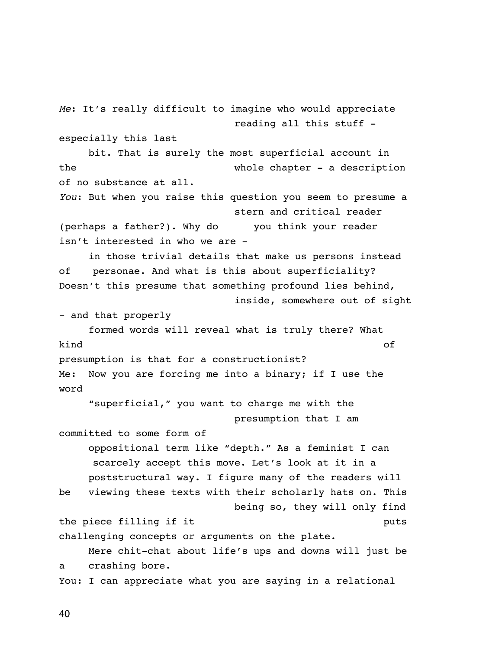Me: It's really difficult to imagine who would appreciate reading all this stuff especially this last bit. That is surely the most superficial account in the whole chapter - a description of no substance at all. You: But when you raise this question you seem to presume a stern and critical reader (perhaps a father?). Why do you think your reader isn't interested in who we are in those trivial details that make us persons instead of personae. And what is this about superficiality? Doesn't this presume that something profound lies behind, inside, somewhere out of sight - and that properly formed words will reveal what is truly there? What kind of the contract of the contract of  $\alpha$ presumption is that for a constructionist? Me: Now you are forcing me into a binary; if I use the word "superficial," you want to charge me with the presumption that I am committed to some form of oppositional term like "depth." As a feminist I can scarcely accept this move. Let's look at it in a poststructural way. I figure many of the readers will be viewing these texts with their scholarly hats on. This being so, they will only find the piece filling if it puts and puts challenging concepts or arguments on the plate. Mere chit-chat about life's ups and downs will just be a crashing bore. You: I can appreciate what you are saying in a relational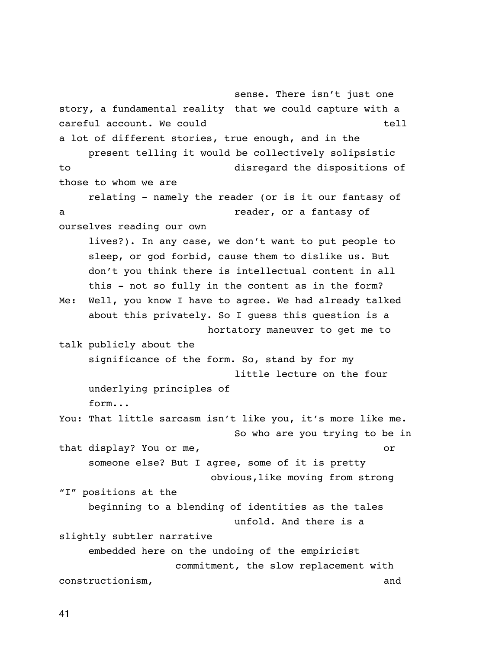sense. There isn't just one story, a fundamental reality that we could capture with a careful account. We could tell a lot of different stories, true enough, and in the present telling it would be collectively solipsistic to disregard the dispositions of those to whom we are relating - namely the reader (or is it our fantasy of a reader, or a fantasy of ourselves reading our own lives?). In any case, we don't want to put people to sleep, or god forbid, cause them to dislike us. But don't you think there is intellectual content in all this - not so fully in the content as in the form? Me: Well, you know I have to agree. We had already talked about this privately. So I guess this question is a hortatory maneuver to get me to talk publicly about the significance of the form. So, stand by for my little lecture on the four underlying principles of form... You: That little sarcasm isn't like you, it's more like me. So who are you trying to be in that display? You or me, that display? You or me, someone else? But I agree, some of it is pretty obvious,like moving from strong "I" positions at the beginning to a blending of identities as the tales unfold. And there is a slightly subtler narrative embedded here on the undoing of the empiricist commitment, the slow replacement with constructionism,  $\qquad \qquad \qquad$  and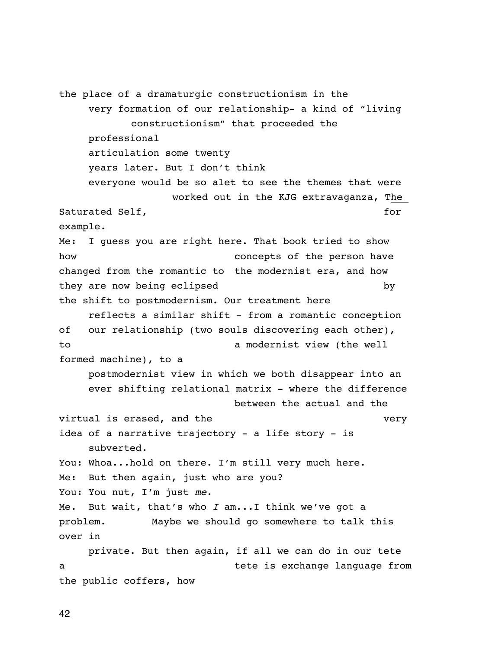the place of a dramaturgic constructionism in the very formation of our relationship- a kind of "living constructionism" that proceeded the professional articulation some twenty years later. But I don't think everyone would be so alet to see the themes that were worked out in the KJG extravaganza, The Saturated Self,  $\overline{\phantom{a}}$  for example. Me: I guess you are right here. That book tried to show how concepts of the person have changed from the romantic to the modernist era, and how they are now being eclipsed by the shift to postmodernism. Our treatment here reflects a similar shift - from a romantic conception of our relationship (two souls discovering each other), to a modernist view (the well formed machine), to a postmodernist view in which we both disappear into an ever shifting relational matrix - where the difference between the actual and the virtual is erased, and the very idea of a narrative trajectory - a life story - is subverted. You: Whoa...hold on there. I'm still very much here. Me: But then again, just who are you? You: You nut, I'm just me. Me. But wait, that's who  $I$  am... I think we've got a problem. Maybe we should go somewhere to talk this over in private. But then again, if all we can do in our tete a tete is exchange language from the public coffers, how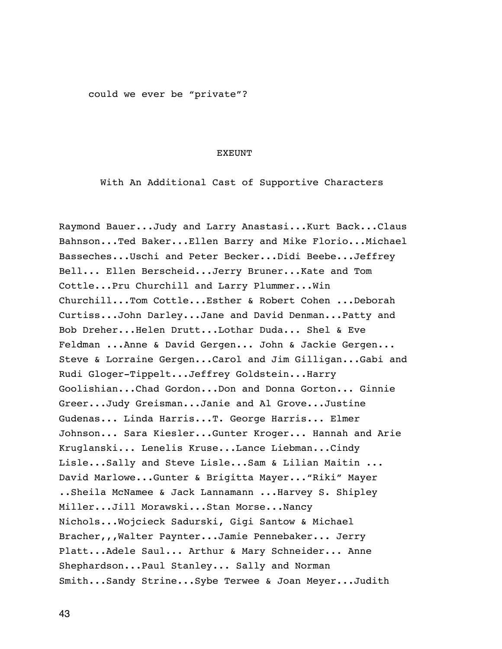#### EXEUNT

With An Additional Cast of Supportive Characters

Raymond Bauer...Judy and Larry Anastasi...Kurt Back...Claus Bahnson...Ted Baker...Ellen Barry and Mike Florio...Michael Basseches...Uschi and Peter Becker...Didi Beebe...Jeffrey Bell... Ellen Berscheid...Jerry Bruner...Kate and Tom Cottle...Pru Churchill and Larry Plummer...Win Churchill...Tom Cottle...Esther & Robert Cohen ...Deborah Curtiss...John Darley...Jane and David Denman...Patty and Bob Dreher...Helen Drutt...Lothar Duda... Shel & Eve Feldman ...Anne & David Gergen... John & Jackie Gergen... Steve & Lorraine Gergen...Carol and Jim Gilligan...Gabi and Rudi Gloger-Tippelt...Jeffrey Goldstein...Harry Goolishian...Chad Gordon...Don and Donna Gorton... Ginnie Greer...Judy Greisman...Janie and Al Grove...Justine Gudenas... Linda Harris...T. George Harris... Elmer Johnson... Sara Kiesler...Gunter Kroger... Hannah and Arie Kruglanski... Lenelis Kruse...Lance Liebman...Cindy Lisle...Sally and Steve Lisle...Sam & Lilian Maitin ... David Marlowe...Gunter & Brigitta Mayer..."Riki" Mayer ..Sheila McNamee & Jack Lannamann ...Harvey S. Shipley Miller...Jill Morawski...Stan Morse...Nancy Nichols...Wojcieck Sadurski, Gigi Santow & Michael Bracher,,,Walter Paynter...Jamie Pennebaker... Jerry Platt...Adele Saul... Arthur & Mary Schneider... Anne Shephardson...Paul Stanley... Sally and Norman Smith...Sandy Strine...Sybe Terwee & Joan Meyer...Judith